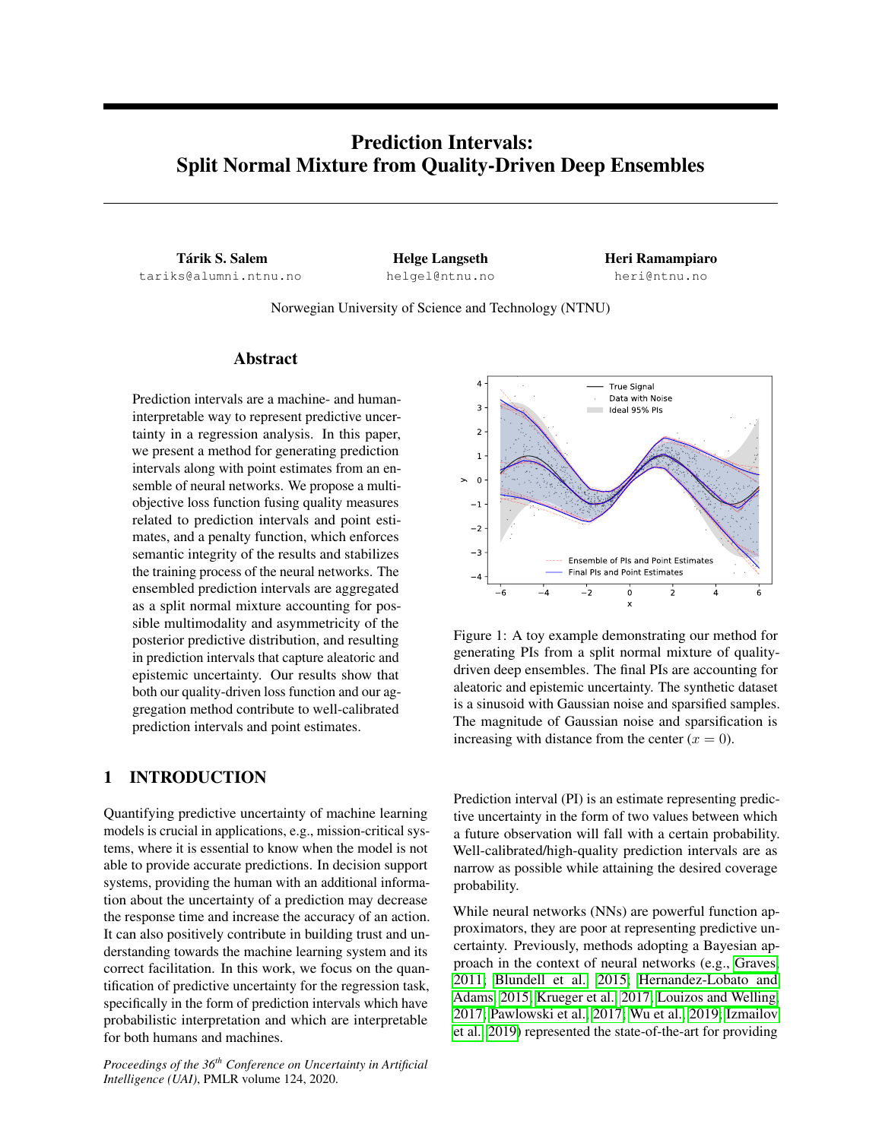# Prediction Intervals: Split Normal Mixture from Quality-Driven Deep Ensembles

Tárik S. Salem tariks@alumni.ntnu.no

Helge Langseth helgel@ntnu.no Heri Ramampiaro heri@ntnu.no

Norwegian University of Science and Technology (NTNU)

# Abstract

Prediction intervals are a machine- and humaninterpretable way to represent predictive uncertainty in a regression analysis. In this paper, we present a method for generating prediction intervals along with point estimates from an ensemble of neural networks. We propose a multiobjective loss function fusing quality measures related to prediction intervals and point estimates, and a penalty function, which enforces semantic integrity of the results and stabilizes the training process of the neural networks. The ensembled prediction intervals are aggregated as a split normal mixture accounting for possible multimodality and asymmetricity of the posterior predictive distribution, and resulting in prediction intervals that capture aleatoric and epistemic uncertainty. Our results show that both our quality-driven loss function and our aggregation method contribute to well-calibrated prediction intervals and point estimates.

# 1 INTRODUCTION

Quantifying predictive uncertainty of machine learning models is crucial in applications, e.g., mission-critical systems, where it is essential to know when the model is not able to provide accurate predictions. In decision support systems, providing the human with an additional information about the uncertainty of a prediction may decrease the response time and increase the accuracy of an action. It can also positively contribute in building trust and understanding towards the machine learning system and its correct facilitation. In this work, we focus on the quantification of predictive uncertainty for the regression task, specifically in the form of prediction intervals which have probabilistic interpretation and which are interpretable for both humans and machines.

*Proceedings of the 36th Conference on Uncertainty in Artificial Intelligence (UAI)*, PMLR volume 124, 2020.



Figure 1: A toy example demonstrating our method for generating PIs from a split normal mixture of qualitydriven deep ensembles. The final PIs are accounting for aleatoric and epistemic uncertainty. The synthetic dataset is a sinusoid with Gaussian noise and sparsified samples. The magnitude of Gaussian noise and sparsification is increasing with distance from the center  $(x = 0)$ .

Prediction interval (PI) is an estimate representing predictive uncertainty in the form of two values between which a future observation will fall with a certain probability. Well-calibrated/high-quality prediction intervals are as narrow as possible while attaining the desired coverage probability.

While neural networks (NNs) are powerful function approximators, they are poor at representing predictive uncertainty. Previously, methods adopting a Bayesian approach in the context of neural networks (e.g., [Graves,](#page-7-0) [2011;](#page-7-0) [Blundell et al., 2015;](#page-7-1) [Hernandez-Lobato and](#page-7-2) [Adams, 2015;](#page-7-2) [Krueger et al., 2017;](#page-8-0) [Louizos and Welling,](#page-8-1) [2017;](#page-8-1) [Pawlowski et al., 2017;](#page-8-2) [Wu et al., 2019;](#page-8-3) [Izmailov](#page-8-4) [et al., 2019\)](#page-8-4) represented the state-of-the-art for providing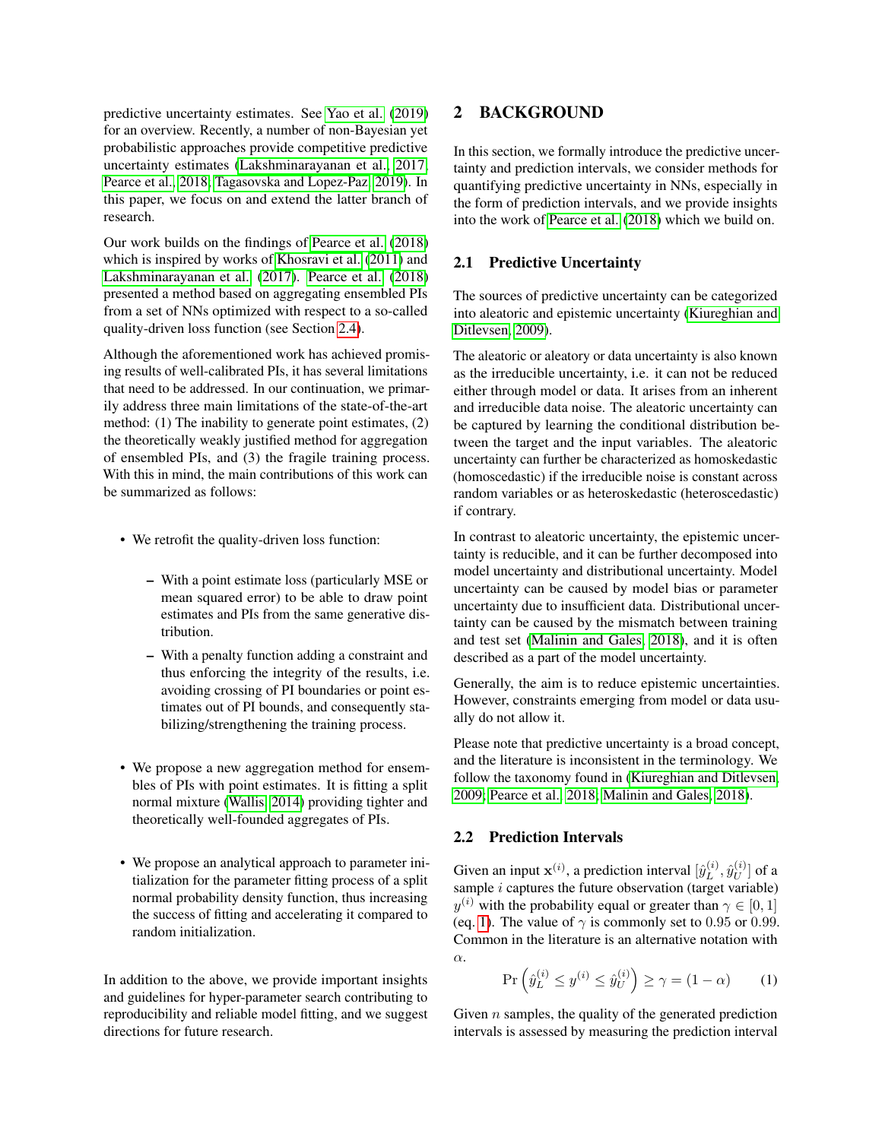predictive uncertainty estimates. See [Yao et al.](#page-8-5) [\(2019\)](#page-8-5) for an overview. Recently, a number of non-Bayesian yet probabilistic approaches provide competitive predictive uncertainty estimates [\(Lakshminarayanan et al., 2017;](#page-8-6) [Pearce et al., 2018;](#page-8-7) [Tagasovska and Lopez-Paz, 2019\)](#page-8-8). In this paper, we focus on and extend the latter branch of research.

Our work builds on the findings of [Pearce et al.](#page-8-7) [\(2018\)](#page-8-7) which is inspired by works of [Khosravi et al.](#page-8-9) [\(2011\)](#page-8-9) and [Lakshminarayanan et al.](#page-8-6) [\(2017\)](#page-8-6). [Pearce et al.](#page-8-7) [\(2018\)](#page-8-7) presented a method based on aggregating ensembled PIs from a set of NNs optimized with respect to a so-called quality-driven loss function (see Section [2.4\)](#page-2-0).

Although the aforementioned work has achieved promising results of well-calibrated PIs, it has several limitations that need to be addressed. In our continuation, we primarily address three main limitations of the state-of-the-art method: (1) The inability to generate point estimates, (2) the theoretically weakly justified method for aggregation of ensembled PIs, and (3) the fragile training process. With this in mind, the main contributions of this work can be summarized as follows:

- We retrofit the quality-driven loss function:
	- With a point estimate loss (particularly MSE or mean squared error) to be able to draw point estimates and PIs from the same generative distribution.
	- With a penalty function adding a constraint and thus enforcing the integrity of the results, i.e. avoiding crossing of PI boundaries or point estimates out of PI bounds, and consequently stabilizing/strengthening the training process.
- We propose a new aggregation method for ensembles of PIs with point estimates. It is fitting a split normal mixture [\(Wallis, 2014\)](#page-8-10) providing tighter and theoretically well-founded aggregates of PIs.
- We propose an analytical approach to parameter initialization for the parameter fitting process of a split normal probability density function, thus increasing the success of fitting and accelerating it compared to random initialization.

In addition to the above, we provide important insights and guidelines for hyper-parameter search contributing to reproducibility and reliable model fitting, and we suggest directions for future research.

# 2 BACKGROUND

In this section, we formally introduce the predictive uncertainty and prediction intervals, we consider methods for quantifying predictive uncertainty in NNs, especially in the form of prediction intervals, and we provide insights into the work of [Pearce et al.](#page-8-7) [\(2018\)](#page-8-7) which we build on.

### 2.1 Predictive Uncertainty

The sources of predictive uncertainty can be categorized into aleatoric and epistemic uncertainty [\(Kiureghian and](#page-8-11) [Ditlevsen, 2009\)](#page-8-11).

The aleatoric or aleatory or data uncertainty is also known as the irreducible uncertainty, i.e. it can not be reduced either through model or data. It arises from an inherent and irreducible data noise. The aleatoric uncertainty can be captured by learning the conditional distribution between the target and the input variables. The aleatoric uncertainty can further be characterized as homoskedastic (homoscedastic) if the irreducible noise is constant across random variables or as heteroskedastic (heteroscedastic) if contrary.

In contrast to aleatoric uncertainty, the epistemic uncertainty is reducible, and it can be further decomposed into model uncertainty and distributional uncertainty. Model uncertainty can be caused by model bias or parameter uncertainty due to insufficient data. Distributional uncertainty can be caused by the mismatch between training and test set [\(Malinin and Gales, 2018\)](#page-8-12), and it is often described as a part of the model uncertainty.

Generally, the aim is to reduce epistemic uncertainties. However, constraints emerging from model or data usually do not allow it.

Please note that predictive uncertainty is a broad concept, and the literature is inconsistent in the terminology. We follow the taxonomy found in [\(Kiureghian and Ditlevsen,](#page-8-11) [2009;](#page-8-11) [Pearce et al., 2018;](#page-8-7) [Malinin and Gales, 2018\)](#page-8-12).

#### 2.2 Prediction Intervals

Given an input  $\mathbf{x}^{(i)}$ , a prediction interval  $[\hat{y}_L^{(i)}]$  $\stackrel{(i)}{L}, \hat{y}_U^{(i)}$  $\bigcup^{(i)}_U\big]$  of a sample  $i$  captures the future observation (target variable)  $y^{(i)}$  with the probability equal or greater than  $\gamma \in [0, 1]$ (eq. [1\)](#page-1-0). The value of  $\gamma$  is commonly set to 0.95 or 0.99. Common in the literature is an alternative notation with α.

<span id="page-1-0"></span>
$$
\Pr\left(\hat{y}_L^{(i)} \le y^{(i)} \le \hat{y}_U^{(i)}\right) \ge \gamma = (1 - \alpha) \tag{1}
$$

Given  $n$  samples, the quality of the generated prediction intervals is assessed by measuring the prediction interval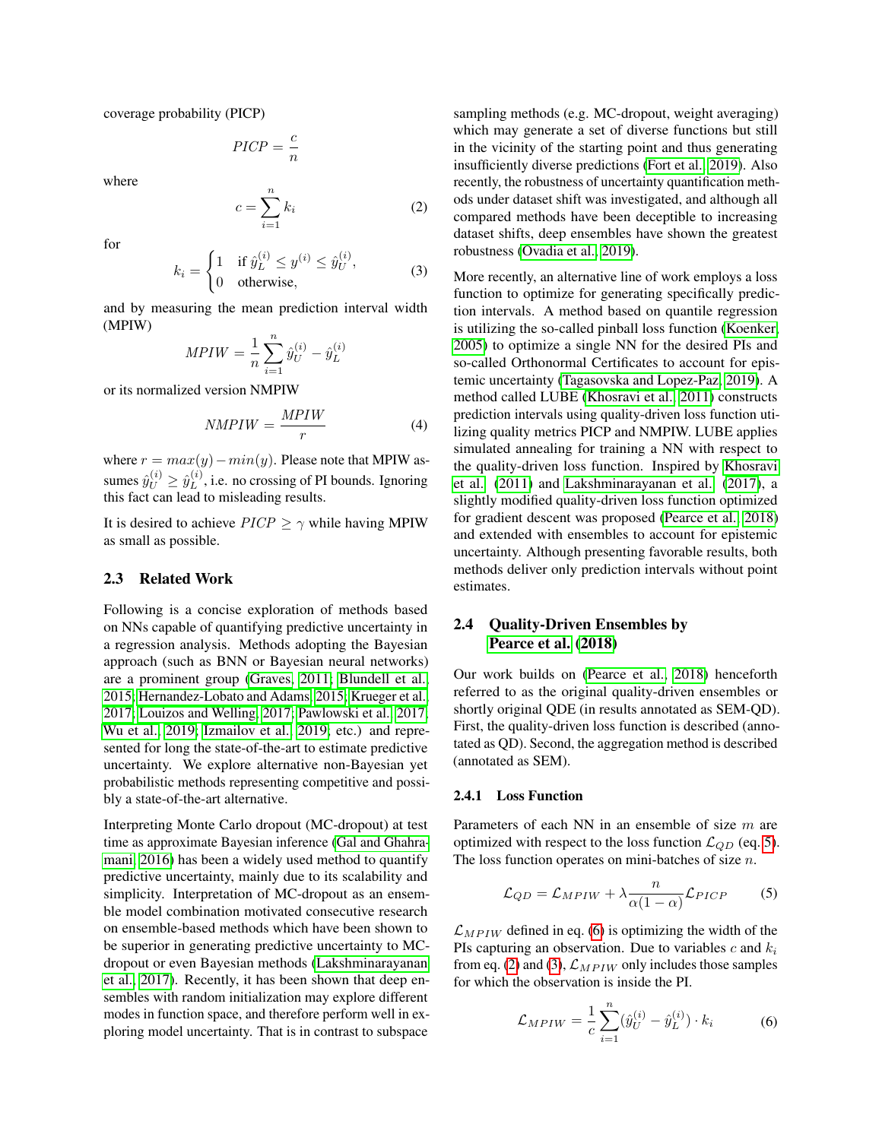coverage probability (PICP)

$$
PICP = \frac{c}{n}
$$

where

<span id="page-2-3"></span>
$$
c = \sum_{i=1}^{n} k_i \tag{2}
$$

for

<span id="page-2-4"></span>
$$
k_i = \begin{cases} 1 & \text{if } \hat{y}_L^{(i)} \le y^{(i)} \le \hat{y}_U^{(i)}, \\ 0 & \text{otherwise}, \end{cases}
$$
 (3)

and by measuring the mean prediction interval width (MPIW)

$$
MPIW = \frac{1}{n} \sum_{i=1}^{n} \hat{y}_{U}^{(i)} - \hat{y}_{L}^{(i)}
$$

or its normalized version NMPIW

<span id="page-2-6"></span>
$$
NMPIW = \frac{MPIW}{r}
$$
 (4)

where  $r = max(y) - min(y)$ . Please note that MPIW assumes  $\hat{y}_U^{(i)} \geq \hat{y}_L^{(i)}$  $L^{(i)}$ , i.e. no crossing of PI bounds. Ignoring this fact can lead to misleading results.

It is desired to achieve  $PICP \ge \gamma$  while having MPIW as small as possible.

### 2.3 Related Work

Following is a concise exploration of methods based on NNs capable of quantifying predictive uncertainty in a regression analysis. Methods adopting the Bayesian approach (such as BNN or Bayesian neural networks) are a prominent group [\(Graves, 2011;](#page-7-0) [Blundell et al.,](#page-7-1) [2015;](#page-7-1) [Hernandez-Lobato and Adams, 2015;](#page-7-2) [Krueger et al.,](#page-8-0) [2017;](#page-8-0) [Louizos and Welling, 2017;](#page-8-1) [Pawlowski et al., 2017;](#page-8-2) [Wu et al., 2019;](#page-8-3) [Izmailov et al., 2019;](#page-8-4) etc.) and represented for long the state-of-the-art to estimate predictive uncertainty. We explore alternative non-Bayesian yet probabilistic methods representing competitive and possibly a state-of-the-art alternative.

Interpreting Monte Carlo dropout (MC-dropout) at test time as approximate Bayesian inference [\(Gal and Ghahra](#page-8-13)[mani, 2016\)](#page-8-13) has been a widely used method to quantify predictive uncertainty, mainly due to its scalability and simplicity. Interpretation of MC-dropout as an ensemble model combination motivated consecutive research on ensemble-based methods which have been shown to be superior in generating predictive uncertainty to MCdropout or even Bayesian methods [\(Lakshminarayanan](#page-8-6) [et al., 2017\)](#page-8-6). Recently, it has been shown that deep ensembles with random initialization may explore different modes in function space, and therefore perform well in exploring model uncertainty. That is in contrast to subspace

sampling methods (e.g. MC-dropout, weight averaging) which may generate a set of diverse functions but still in the vicinity of the starting point and thus generating insufficiently diverse predictions [\(Fort et al., 2019\)](#page-8-14). Also recently, the robustness of uncertainty quantification methods under dataset shift was investigated, and although all compared methods have been deceptible to increasing dataset shifts, deep ensembles have shown the greatest robustness [\(Ovadia et al., 2019\)](#page-8-15).

More recently, an alternative line of work employs a loss function to optimize for generating specifically prediction intervals. A method based on quantile regression is utilizing the so-called pinball loss function [\(Koenker,](#page-8-16) [2005\)](#page-8-16) to optimize a single NN for the desired PIs and so-called Orthonormal Certificates to account for epistemic uncertainty [\(Tagasovska and Lopez-Paz, 2019\)](#page-8-8). A method called LUBE [\(Khosravi et al., 2011\)](#page-8-9) constructs prediction intervals using quality-driven loss function utilizing quality metrics PICP and NMPIW. LUBE applies simulated annealing for training a NN with respect to the quality-driven loss function. Inspired by [Khosravi](#page-8-9) [et al.](#page-8-9) [\(2011\)](#page-8-9) and [Lakshminarayanan et al.](#page-8-6) [\(2017\)](#page-8-6), a slightly modified quality-driven loss function optimized for gradient descent was proposed [\(Pearce et al., 2018\)](#page-8-7) and extended with ensembles to account for epistemic uncertainty. Although presenting favorable results, both methods deliver only prediction intervals without point estimates.

# <span id="page-2-0"></span>2.4 Quality-Driven Ensembles by [Pearce et al.](#page-8-7) [\(2018\)](#page-8-7)

Our work builds on [\(Pearce et al., 2018\)](#page-8-7) henceforth referred to as the original quality-driven ensembles or shortly original QDE (in results annotated as SEM-QD). First, the quality-driven loss function is described (annotated as QD). Second, the aggregation method is described (annotated as SEM).

#### <span id="page-2-5"></span>2.4.1 Loss Function

Parameters of each NN in an ensemble of size m are optimized with respect to the loss function  $\mathcal{L}_{QD}$  (eq. [5\)](#page-2-1). The loss function operates on mini-batches of size  $n$ .

<span id="page-2-1"></span>
$$
\mathcal{L}_{QD} = \mathcal{L}_{MPIW} + \lambda \frac{n}{\alpha (1 - \alpha)} \mathcal{L}_{PICP} \tag{5}
$$

 $\mathcal{L}_{MPIW}$  defined in eq. [\(6\)](#page-2-2) is optimizing the width of the PIs capturing an observation. Due to variables c and  $k_i$ from eq. [\(2\)](#page-2-3) and [\(3\)](#page-2-4),  $\mathcal{L}_{MPIW}$  only includes those samples for which the observation is inside the PI.

<span id="page-2-2"></span>
$$
\mathcal{L}_{MPIW} = \frac{1}{c} \sum_{i=1}^{n} (\hat{y}_U^{(i)} - \hat{y}_L^{(i)}) \cdot k_i \tag{6}
$$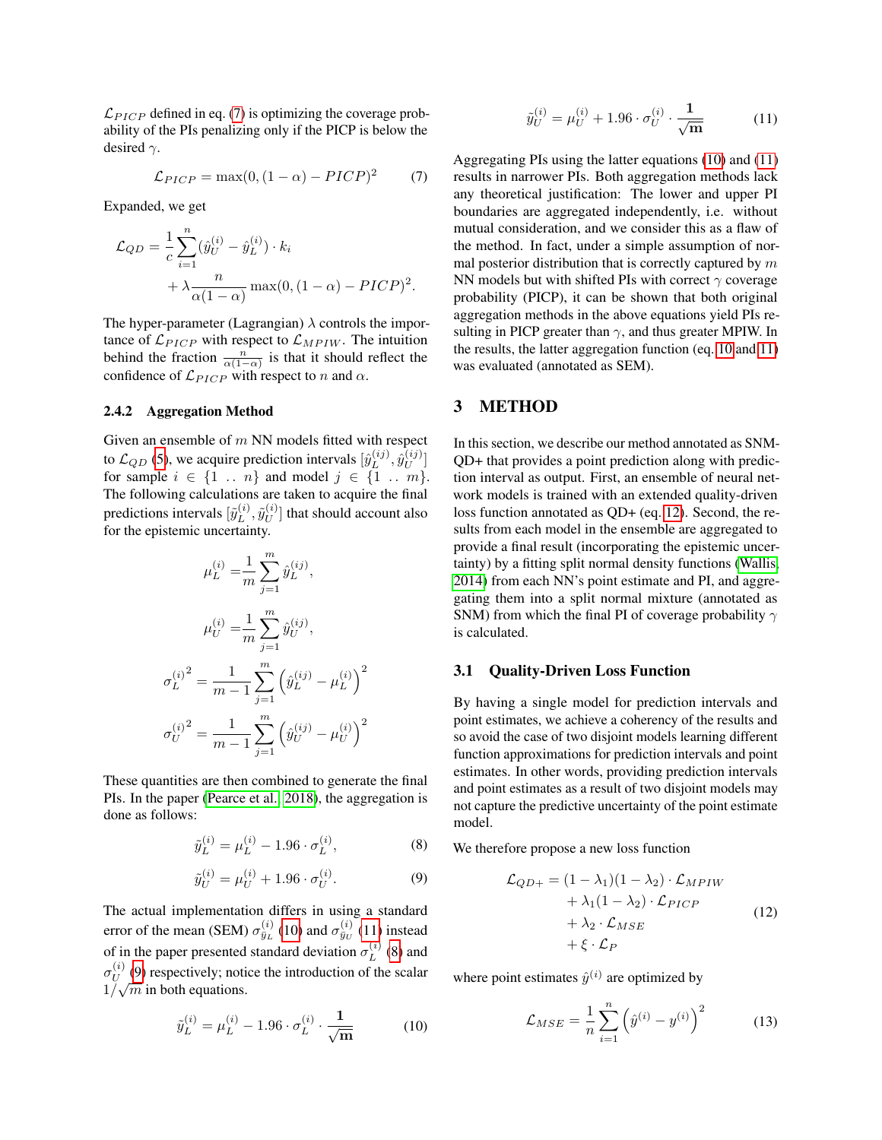$\mathcal{L}_{PICP}$  defined in eq. [\(7\)](#page-3-0) is optimizing the coverage probability of the PIs penalizing only if the PICP is below the desired  $\gamma$ .

<span id="page-3-0"></span>
$$
\mathcal{L}_{PICP} = \max(0, (1 - \alpha) - PICP)^2 \tag{7}
$$

Expanded, we get

$$
\mathcal{L}_{QD} = \frac{1}{c} \sum_{i=1}^{n} (\hat{y}_U^{(i)} - \hat{y}_L^{(i)}) \cdot k_i
$$

$$
+ \lambda \frac{n}{\alpha(1-\alpha)} \max(0, (1-\alpha) - PICP)^2.
$$

The hyper-parameter (Lagrangian)  $\lambda$  controls the importance of  $\mathcal{L}_{PICP}$  with respect to  $\mathcal{L}_{MPIW}$ . The intuition behind the fraction  $\frac{n}{\alpha(1-\alpha)}$  is that it should reflect the confidence of  $\mathcal{L}_{PICP}$  with respect to n and  $\alpha$ .

### <span id="page-3-8"></span>2.4.2 Aggregation Method

Given an ensemble of  $m$  NN models fitted with respect to  $\mathcal{L}_{QD}$  [\(5\)](#page-2-1), we acquire prediction intervals  $[\hat{y}_L^{(ij)}]$  $\hat{y}^{(ij)}_L, \hat{y}^{(ij)}_U$  $\left[\begin{smallmatrix} U & J \ U & \end{smallmatrix}\right]$ for sample  $i \in \{1 \dots n\}$  and model  $j \in \{1 \dots m\}$ . The following calculations are taken to acquire the final predictions intervals  $[\tilde{y}_L^{(i)}]$  $_L^{(i)}, \tilde{y}_U^{(i)}$  $\binom{[u]}{U}$  that should account also for the epistemic uncertainty.

$$
\mu_L^{(i)} = \frac{1}{m} \sum_{j=1}^m \hat{y}_L^{(ij)},
$$

$$
\mu_U^{(i)} = \frac{1}{m} \sum_{j=1}^m \hat{y}_U^{(ij)},
$$

$$
\sigma_L^{(i)}^2 = \frac{1}{m-1} \sum_{j=1}^m \left(\hat{y}_L^{(ij)} - \mu_L^{(i)}\right)^2
$$

$$
\sigma_U^{(i)}^2 = \frac{1}{m-1} \sum_{j=1}^m \left(\hat{y}_U^{(ij)} - \mu_U^{(i)}\right)^2
$$

These quantities are then combined to generate the final PIs. In the paper [\(Pearce et al., 2018\)](#page-8-7), the aggregation is done as follows:

<span id="page-3-3"></span>
$$
\tilde{y}_L^{(i)} = \mu_L^{(i)} - 1.96 \cdot \sigma_L^{(i)},\tag{8}
$$

<span id="page-3-4"></span>
$$
\tilde{y}_U^{(i)} = \mu_U^{(i)} + 1.96 \cdot \sigma_U^{(i)}.
$$
\n(9)

The actual implementation differs in using a standard error of the mean (SEM)  $\sigma_{\bar{y}_L}^{(i)}$  [\(10\)](#page-3-1) and  $\sigma_{\bar{y}_U}^{(i)}$  [\(11\)](#page-3-2) instead of in the paper presented standard deviation  $\sigma_L^{(i)}$  $L^{(i)}(8)$  $L^{(i)}(8)$  and  $\sigma^{(i)}_{\scriptscriptstyle II}$  $U^{(1)}(9)$  $U^{(1)}(9)$  respectively; notice the introduction of the scalar  $1/\sqrt{m}$  in both equations.

<span id="page-3-1"></span>
$$
\tilde{y}_L^{(i)} = \mu_L^{(i)} - 1.96 \cdot \sigma_L^{(i)} \cdot \frac{1}{\sqrt{m}} \tag{10}
$$

<span id="page-3-2"></span>
$$
\tilde{y}_U^{(i)} = \mu_U^{(i)} + 1.96 \cdot \sigma_U^{(i)} \cdot \frac{1}{\sqrt{m}} \tag{11}
$$

Aggregating PIs using the latter equations [\(10\)](#page-3-1) and [\(11\)](#page-3-2) results in narrower PIs. Both aggregation methods lack any theoretical justification: The lower and upper PI boundaries are aggregated independently, i.e. without mutual consideration, and we consider this as a flaw of the method. In fact, under a simple assumption of normal posterior distribution that is correctly captured by  $m$ NN models but with shifted PIs with correct  $\gamma$  coverage probability (PICP), it can be shown that both original aggregation methods in the above equations yield PIs resulting in PICP greater than  $\gamma$ , and thus greater MPIW. In the results, the latter aggregation function (eq. [10](#page-3-1) and [11\)](#page-3-2) was evaluated (annotated as SEM).

# 3 METHOD

In this section, we describe our method annotated as SNM-QD+ that provides a point prediction along with prediction interval as output. First, an ensemble of neural network models is trained with an extended quality-driven loss function annotated as QD+ (eq. [12\)](#page-3-5). Second, the results from each model in the ensemble are aggregated to provide a final result (incorporating the epistemic uncertainty) by a fitting split normal density functions [\(Wallis,](#page-8-10) [2014\)](#page-8-10) from each NN's point estimate and PI, and aggregating them into a split normal mixture (annotated as SNM) from which the final PI of coverage probability  $\gamma$ is calculated.

#### <span id="page-3-7"></span>3.1 Quality-Driven Loss Function

By having a single model for prediction intervals and point estimates, we achieve a coherency of the results and so avoid the case of two disjoint models learning different function approximations for prediction intervals and point estimates. In other words, providing prediction intervals and point estimates as a result of two disjoint models may not capture the predictive uncertainty of the point estimate model.

We therefore propose a new loss function

<span id="page-3-5"></span>
$$
\mathcal{L}_{QD+} = (1 - \lambda_1)(1 - \lambda_2) \cdot \mathcal{L}_{MPIW} \n+ \lambda_1(1 - \lambda_2) \cdot \mathcal{L}_{PICP} \n+ \lambda_2 \cdot \mathcal{L}_{MSE} \n+ \xi \cdot \mathcal{L}_P
$$
\n(12)

where point estimates  $\hat{y}^{(i)}$  are optimized by

<span id="page-3-6"></span>
$$
\mathcal{L}_{MSE} = \frac{1}{n} \sum_{i=1}^{n} \left( \hat{y}^{(i)} - y^{(i)} \right)^2 \tag{13}
$$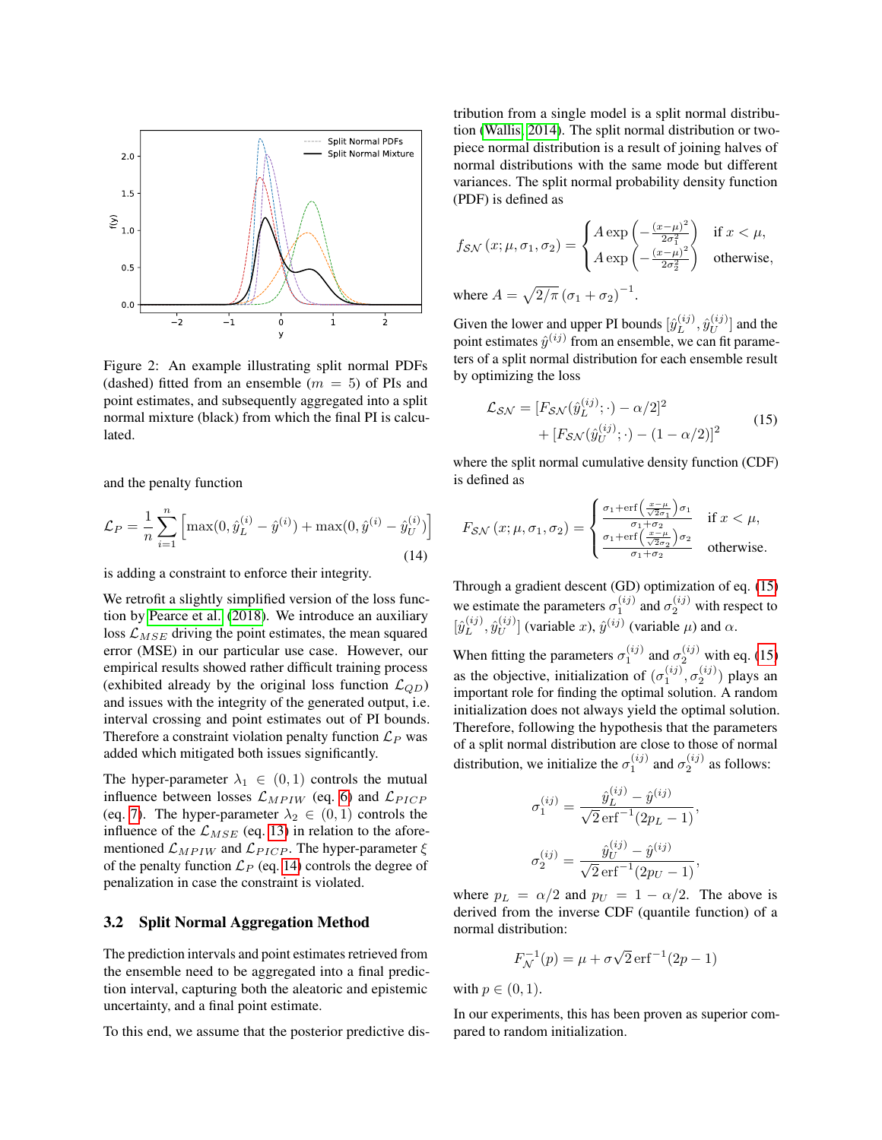<span id="page-4-2"></span>

Figure 2: An example illustrating split normal PDFs (dashed) fitted from an ensemble  $(m = 5)$  of PIs and point estimates, and subsequently aggregated into a split normal mixture (black) from which the final PI is calculated.

and the penalty function

<span id="page-4-0"></span>
$$
\mathcal{L}_P = \frac{1}{n} \sum_{i=1}^n \left[ \max(0, \hat{y}_L^{(i)} - \hat{y}^{(i)}) + \max(0, \hat{y}^{(i)} - \hat{y}_U^{(i)}) \right]
$$
(14)

is adding a constraint to enforce their integrity.

We retrofit a slightly simplified version of the loss function by [Pearce et al.](#page-8-7) [\(2018\)](#page-8-7). We introduce an auxiliary loss  $\mathcal{L}_{MSE}$  driving the point estimates, the mean squared error (MSE) in our particular use case. However, our empirical results showed rather difficult training process (exhibited already by the original loss function  $\mathcal{L}_{OD}$ ) and issues with the integrity of the generated output, i.e. interval crossing and point estimates out of PI bounds. Therefore a constraint violation penalty function  $\mathcal{L}_P$  was added which mitigated both issues significantly.

The hyper-parameter  $\lambda_1 \in (0,1)$  controls the mutual influence between losses  $\mathcal{L}_{MPIW}$  (eq. [6\)](#page-2-2) and  $\mathcal{L}_{PICP}$ (eq. [7\)](#page-3-0). The hyper-parameter  $\lambda_2 \in (0,1)$  controls the influence of the  $\mathcal{L}_{MSE}$  (eq. [13\)](#page-3-6) in relation to the aforementioned  $\mathcal{L}_{MPIW}$  and  $\mathcal{L}_{PICP}$ . The hyper-parameter  $\xi$ of the penalty function  $\mathcal{L}_P$  (eq. [14\)](#page-4-0) controls the degree of penalization in case the constraint is violated.

#### <span id="page-4-3"></span>3.2 Split Normal Aggregation Method

The prediction intervals and point estimates retrieved from the ensemble need to be aggregated into a final prediction interval, capturing both the aleatoric and epistemic uncertainty, and a final point estimate.

To this end, we assume that the posterior predictive dis-

tribution from a single model is a split normal distribution [\(Wallis, 2014\)](#page-8-10). The split normal distribution or twopiece normal distribution is a result of joining halves of normal distributions with the same mode but different variances. The split normal probability density function (PDF) is defined as

$$
f_{\mathcal{SN}}(x; \mu, \sigma_1, \sigma_2) = \begin{cases} A \exp\left(-\frac{(x-\mu)^2}{2\sigma_1^2}\right) & \text{if } x < \mu, \\ A \exp\left(-\frac{(x-\mu)^2}{2\sigma_2^2}\right) & \text{otherwise,} \end{cases}
$$
  
where  $A = \sqrt{2/\pi} (\sigma_1 + \sigma_2)^{-1}$ .

Given the lower and upper PI bounds  $[\hat{y}_L^{(ij)}]$  $\hat{y}^{(ij)}_L, \hat{y}^{(ij)}_U$  $\binom{[ij]}{U}$  and the point estimates  $\hat{y}^{(ij)}$  from an ensemble, we can fit parameters of a split normal distribution for each ensemble result by optimizing the loss

<span id="page-4-1"></span>
$$
\mathcal{L}_{\mathcal{SN}} = [F_{\mathcal{SN}}(\hat{y}_L^{(ij)}; \cdot) - \alpha/2]^2
$$
  
+ 
$$
[F_{\mathcal{SN}}(\hat{y}_U^{(ij)}; \cdot) - (1 - \alpha/2)]^2
$$
(15)

where the split normal cumulative density function (CDF) is defined as

$$
F_{\mathcal{SN}}\left(x;\mu,\sigma_{1},\sigma_{2}\right) = \begin{cases} \frac{\sigma_{1} + \text{erf}\left(\frac{x-\mu}{\sqrt{2}\sigma_{1}}\right)\sigma_{1}}{\sigma_{1} + \sigma_{2}} & \text{if } x < \mu, \\ \frac{\sigma_{1} + \text{erf}\left(\frac{x-\mu}{\sqrt{2}\sigma_{2}}\right)\sigma_{2}}{\sigma_{1} + \sigma_{2}} & \text{otherwise.} \end{cases}
$$

Through a gradient descent (GD) optimization of eq. [\(15\)](#page-4-1) we estimate the parameters  $\sigma_1^{(ij)}$  and  $\sigma_2^{(ij)}$  with respect to  $[\hat{y}_L^{(ij)}]$  $\hat{y}^{(ij)}_L, \hat{y}^{(ij)}_U$  $\left[\begin{array}{c} (ij) \\ U \end{array}\right]$  (variable x),  $\hat{y}^{(ij)}$  (variable  $\mu$ ) and  $\alpha$ .

When fitting the parameters  $\sigma_1^{(ij)}$  and  $\sigma_2^{(ij)}$  with eq. [\(15\)](#page-4-1) as the objective, initialization of  $(\sigma_1^{(ij)}, \sigma_2^{(ij)})$  plays an important role for finding the optimal solution. A random initialization does not always yield the optimal solution. Therefore, following the hypothesis that the parameters of a split normal distribution are close to those of normal distribution, we initialize the  $\sigma_1^{(ij)}$  and  $\sigma_2^{(ij)}$  as follows:

$$
\sigma_1^{(ij)} = \frac{\hat{y}_L^{(ij)} - \hat{y}^{(ij)}}{\sqrt{2} \operatorname{erf}^{-1}(2p_L - 1)},
$$

$$
\sigma_2^{(ij)} = \frac{\hat{y}_U^{(ij)} - \hat{y}^{(ij)}}{\sqrt{2} \operatorname{erf}^{-1}(2p_U - 1)},
$$

where  $p_L = \alpha/2$  and  $p_U = 1 - \alpha/2$ . The above is derived from the inverse CDF (quantile function) of a normal distribution:

$$
F_{\mathcal{N}}^{-1}(p) = \mu + \sigma \sqrt{2} \,\mathrm{erf}^{-1}(2p - 1)
$$

with  $p \in (0,1)$ .

In our experiments, this has been proven as superior compared to random initialization.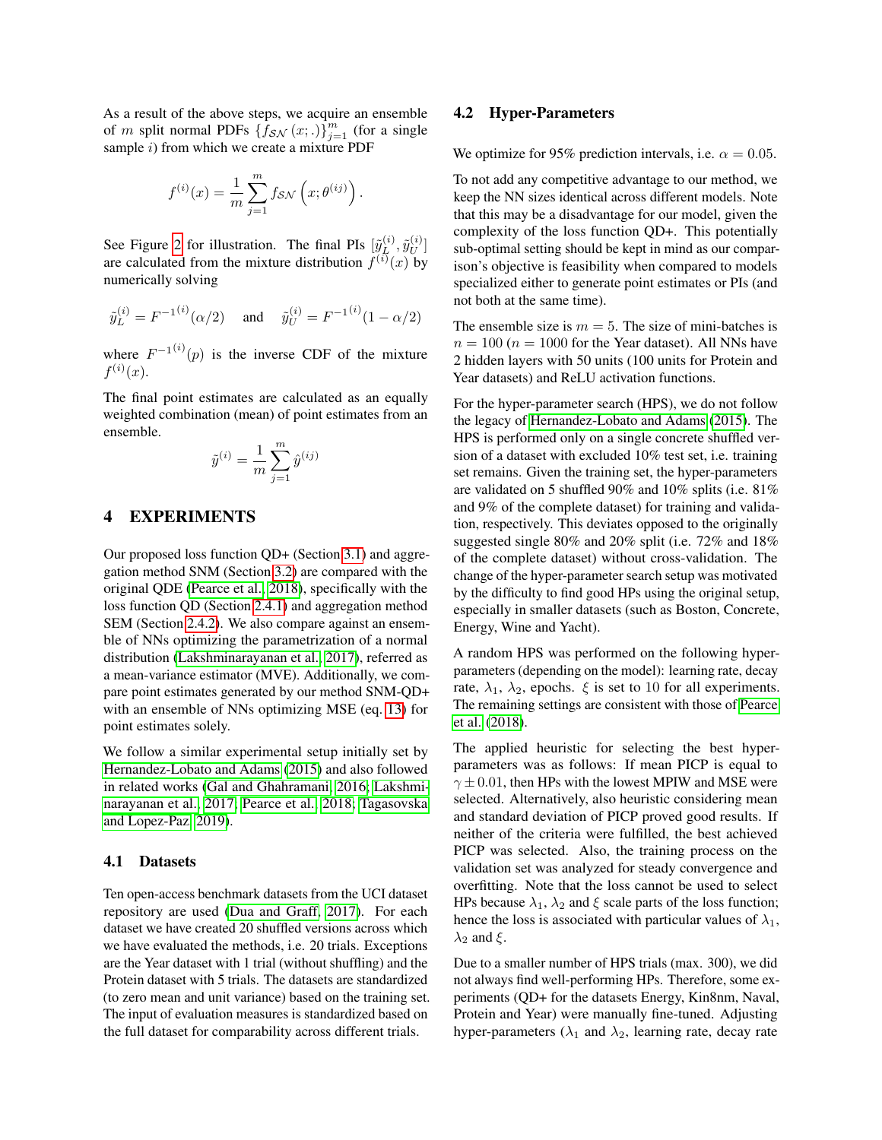As a result of the above steps, we acquire an ensemble of m split normal PDFs  $\{f_{\mathcal{SN}}(x;.)\}_{j=1}^m$  (for a single sample  $i$ ) from which we create a mixture PDF

$$
f^{(i)}(x) = \frac{1}{m} \sum_{j=1}^{m} f_{\mathcal{SN}}(x; \theta^{(ij)}).
$$

See Figure [2](#page-4-2) for illustration. The final PIs  $[\tilde{y}_L^{(i)}]$  $\tilde{y}^{(i)}_L, \tilde{y}^{(i)}_U$  $\bigl(\begin{smallmatrix} u \ v \end{smallmatrix}\bigr]$ are calculated from the mixture distribution  $f^{(i)}(x)$  by numerically solving

$$
\tilde{y}_L^{(i)} = F^{-1}(i)(\alpha/2)
$$
 and  $\tilde{y}_U^{(i)} = F^{-1}(i)(1 - \alpha/2)$ 

where  $F^{-1}^{(i)}(p)$  is the inverse CDF of the mixture  $f^{(i)}(x).$ 

The final point estimates are calculated as an equally weighted combination (mean) of point estimates from an ensemble.

$$
\tilde{y}^{(i)} = \frac{1}{m} \sum_{j=1}^{m} \hat{y}^{(ij)}
$$

# 4 EXPERIMENTS

Our proposed loss function QD+ (Section [3.1\)](#page-3-7) and aggregation method SNM (Section [3.2\)](#page-4-3) are compared with the original QDE [\(Pearce et al., 2018\)](#page-8-7), specifically with the loss function QD (Section [2.4.1\)](#page-2-5) and aggregation method SEM (Section [2.4.2\)](#page-3-8). We also compare against an ensemble of NNs optimizing the parametrization of a normal distribution [\(Lakshminarayanan et al., 2017\)](#page-8-6), referred as a mean-variance estimator (MVE). Additionally, we compare point estimates generated by our method SNM-QD+ with an ensemble of NNs optimizing MSE (eq. [13\)](#page-3-6) for point estimates solely.

We follow a similar experimental setup initially set by [Hernandez-Lobato and Adams](#page-7-2) [\(2015\)](#page-7-2) and also followed in related works [\(Gal and Ghahramani, 2016;](#page-8-13) [Lakshmi](#page-8-6)[narayanan et al., 2017;](#page-8-6) [Pearce et al., 2018;](#page-8-7) [Tagasovska](#page-8-8) [and Lopez-Paz, 2019\)](#page-8-8).

#### 4.1 Datasets

Ten open-access benchmark datasets from the UCI dataset repository are used [\(Dua and Graff, 2017\)](#page-8-17). For each dataset we have created 20 shuffled versions across which we have evaluated the methods, i.e. 20 trials. Exceptions are the Year dataset with 1 trial (without shuffling) and the Protein dataset with 5 trials. The datasets are standardized (to zero mean and unit variance) based on the training set. The input of evaluation measures is standardized based on the full dataset for comparability across different trials.

#### 4.2 Hyper-Parameters

We optimize for 95% prediction intervals, i.e.  $\alpha = 0.05$ .

To not add any competitive advantage to our method, we keep the NN sizes identical across different models. Note that this may be a disadvantage for our model, given the complexity of the loss function QD+. This potentially sub-optimal setting should be kept in mind as our comparison's objective is feasibility when compared to models specialized either to generate point estimates or PIs (and not both at the same time).

The ensemble size is  $m = 5$ . The size of mini-batches is  $n = 100$  ( $n = 1000$  for the Year dataset). All NNs have 2 hidden layers with 50 units (100 units for Protein and Year datasets) and ReLU activation functions.

For the hyper-parameter search (HPS), we do not follow the legacy of [Hernandez-Lobato and Adams](#page-7-2) [\(2015\)](#page-7-2). The HPS is performed only on a single concrete shuffled version of a dataset with excluded 10% test set, i.e. training set remains. Given the training set, the hyper-parameters are validated on 5 shuffled 90% and 10% splits (i.e. 81% and 9% of the complete dataset) for training and validation, respectively. This deviates opposed to the originally suggested single 80% and 20% split (i.e. 72% and 18% of the complete dataset) without cross-validation. The change of the hyper-parameter search setup was motivated by the difficulty to find good HPs using the original setup, especially in smaller datasets (such as Boston, Concrete, Energy, Wine and Yacht).

A random HPS was performed on the following hyperparameters (depending on the model): learning rate, decay rate,  $\lambda_1$ ,  $\lambda_2$ , epochs.  $\xi$  is set to 10 for all experiments. The remaining settings are consistent with those of [Pearce](#page-8-7) [et al.](#page-8-7) [\(2018\)](#page-8-7).

The applied heuristic for selecting the best hyperparameters was as follows: If mean PICP is equal to  $\gamma \pm 0.01$ , then HPs with the lowest MPIW and MSE were selected. Alternatively, also heuristic considering mean and standard deviation of PICP proved good results. If neither of the criteria were fulfilled, the best achieved PICP was selected. Also, the training process on the validation set was analyzed for steady convergence and overfitting. Note that the loss cannot be used to select HPs because  $\lambda_1$ ,  $\lambda_2$  and  $\xi$  scale parts of the loss function; hence the loss is associated with particular values of  $\lambda_1$ ,  $\lambda_2$  and  $\xi$ .

Due to a smaller number of HPS trials (max. 300), we did not always find well-performing HPs. Therefore, some experiments (QD+ for the datasets Energy, Kin8nm, Naval, Protein and Year) were manually fine-tuned. Adjusting hyper-parameters ( $\lambda_1$  and  $\lambda_2$ , learning rate, decay rate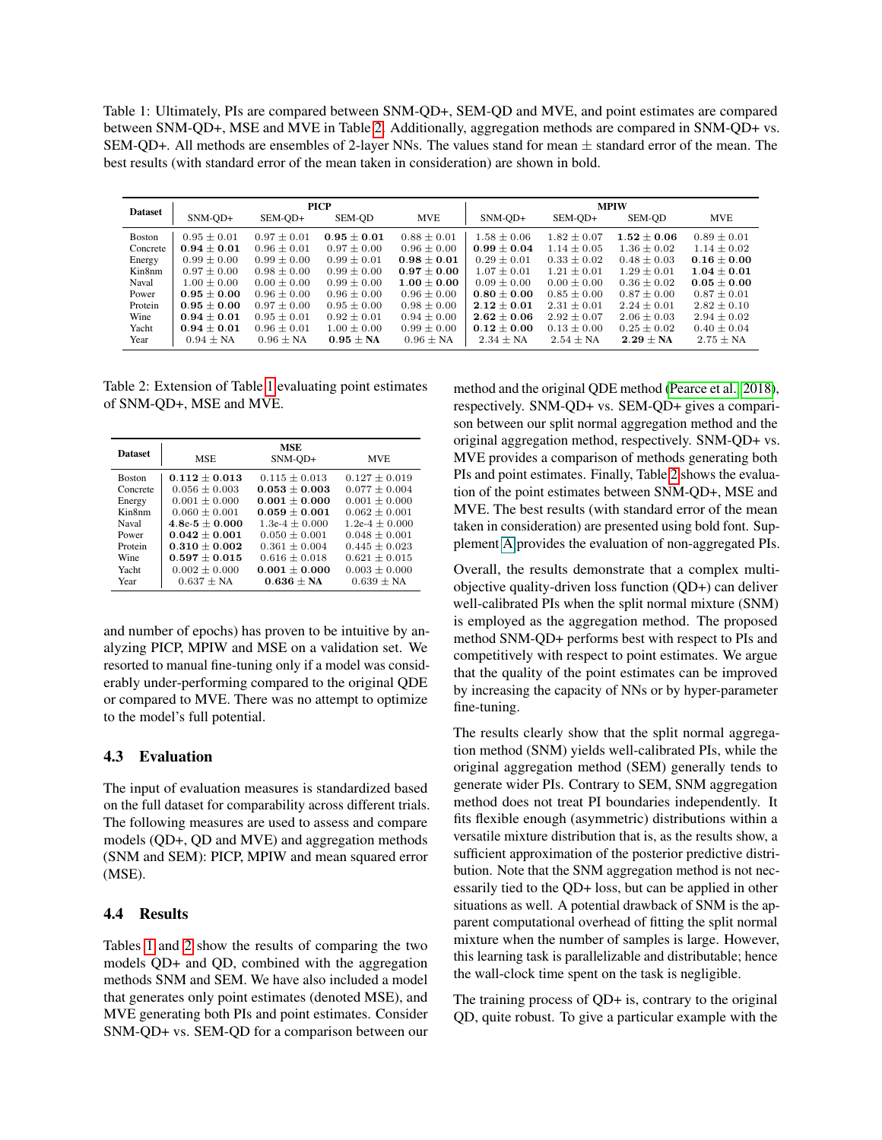<span id="page-6-1"></span>Table 1: Ultimately, PIs are compared between SNM-QD+, SEM-QD and MVE, and point estimates are compared between SNM-QD+, MSE and MVE in Table [2.](#page-6-0) Additionally, aggregation methods are compared in SNM-QD+ vs. SEM-QD+. All methods are ensembles of 2-layer NNs. The values stand for mean  $\pm$  standard error of the mean. The best results (with standard error of the mean taken in consideration) are shown in bold.

|                | <b>PICP</b>     |                 |                 |                 | <b>MPIW</b>     |                 |                 |                 |
|----------------|-----------------|-----------------|-----------------|-----------------|-----------------|-----------------|-----------------|-----------------|
| <b>Dataset</b> | SNM-OD+         | SEM-OD+         | SEM-OD          | <b>MVE</b>      | SNM-OD+         | SEM-OD+         | SEM-OD          | <b>MVE</b>      |
| <b>Boston</b>  | $0.95 + 0.01$   | $0.97 + 0.01$   | $0.95 + 0.01$   | $0.88 + 0.01$   | $1.58 + 0.06$   | $1.82 \pm 0.07$ | $1.52 + 0.06$   | $0.89 + 0.01$   |
| Concrete       | $0.94 \pm 0.01$ | $0.96 \pm 0.01$ | $0.97 \pm 0.00$ | $0.96 \pm 0.00$ | $0.99 \pm 0.04$ | $1.14 \pm 0.05$ | $1.36 \pm 0.02$ | $1.14 \pm 0.02$ |
| Energy         | $0.99 \pm 0.00$ | $0.99 \pm 0.00$ | $0.99 \pm 0.01$ | $0.98 \pm 0.01$ | $0.29 \pm 0.01$ | $0.33 \pm 0.02$ | $0.48 \pm 0.03$ | $0.16 \pm 0.00$ |
| Kin8nm         | $0.97 + 0.00$   | $0.98 + 0.00$   | $0.99 + 0.00$   | $0.97 + 0.00$   | $1.07 + 0.01$   | $1.21 + 0.01$   | $1.29 \pm 0.01$ | $1.04 \pm 0.01$ |
| Naval          | $1.00 + 0.00$   | $0.00 + 0.00$   | $0.99 + 0.00$   | $1.00 \pm 0.00$ | $0.09 + 0.00$   | $0.00 + 0.00$   | $0.36 \pm 0.02$ | $0.05 + 0.00$   |
| Power          | $0.95 \pm 0.00$ | $0.96 \pm 0.00$ | $0.96 \pm 0.00$ | $0.96 \pm 0.00$ | $0.80 \pm 0.00$ | $0.85 \pm 0.00$ | $0.87 \pm 0.00$ | $0.87 + 0.01$   |
| Protein        | $0.95 \pm 0.00$ | $0.97 \pm 0.00$ | $0.95 \pm 0.00$ | $0.98 \pm 0.00$ | $2.12 \pm 0.01$ | $2.31 \pm 0.01$ | $2.24 \pm 0.01$ | $2.82 \pm 0.10$ |
| Wine           | $0.94 \pm 0.01$ | $0.95 + 0.01$   | $0.92 + 0.01$   | $0.94 + 0.00$   | $2.62 + 0.06$   | $2.92 + 0.07$   | $2.06 \pm 0.03$ | $2.94 + 0.02$   |
| Yacht          | $0.94 + 0.01$   | $0.96 \pm 0.01$ | $1.00 \pm 0.00$ | $0.99 + 0.00$   | $0.12 + 0.00$   | $0.13 + 0.00$   | $0.25 + 0.02$   | $0.40 + 0.04$   |
| Year           | $0.94 \pm NA$   | $0.96 \pm NA$   | $0.95 \pm NA$   | $0.96 \pm NA$   | $2.34 \pm NA$   | $2.54 \pm NA$   | $2.29 \pm NA$   | $2.75 \pm NA$   |

<span id="page-6-0"></span>Table 2: Extension of Table [1](#page-6-1) evaluating point estimates of SNM-QD+, MSE and MVE.

| <b>Dataset</b> | <b>MSE</b>       | <b>MSE</b><br>SNM-OD+ | <b>MVE</b>       |  |
|----------------|------------------|-----------------------|------------------|--|
| <b>Boston</b>  | $0.112 + 0.013$  | $0.115 + 0.013$       | $0.127 + 0.019$  |  |
| Concrete       | $0.056 + 0.003$  | $0.053 + 0.003$       | $0.077 + 0.004$  |  |
| Energy         | $0.001 + 0.000$  | $0.001 + 0.000$       | $0.001 + 0.000$  |  |
| Kin8nm         | $0.060 + 0.001$  | $0.059 + 0.001$       | $0.062 + 0.001$  |  |
| <b>Naval</b>   | $4.8e-5 + 0.000$ | $1.3e-4 + 0.000$      | $1.2e-4 + 0.000$ |  |
| Power          | $0.042 + 0.001$  | $0.050 + 0.001$       | $0.048 + 0.001$  |  |
| Protein        | $0.310 + 0.002$  | $0.361 + 0.004$       | $0.445 + 0.023$  |  |
| Wine           | $0.597 + 0.015$  | $0.616 \pm 0.018$     | $0.621 + 0.015$  |  |
| Yacht          | $0.002 + 0.000$  | $0.001 + 0.000$       | $0.003 + 0.000$  |  |
| Year           | $0.637 \pm NA$   | $0.636 + NA$          | $0.639 + NA$     |  |

and number of epochs) has proven to be intuitive by analyzing PICP, MPIW and MSE on a validation set. We resorted to manual fine-tuning only if a model was considerably under-performing compared to the original QDE or compared to MVE. There was no attempt to optimize to the model's full potential.

### 4.3 Evaluation

The input of evaluation measures is standardized based on the full dataset for comparability across different trials. The following measures are used to assess and compare models (QD+, QD and MVE) and aggregation methods (SNM and SEM): PICP, MPIW and mean squared error (MSE).

# 4.4 Results

Tables [1](#page-6-1) and [2](#page-6-0) show the results of comparing the two models QD+ and QD, combined with the aggregation methods SNM and SEM. We have also included a model that generates only point estimates (denoted MSE), and MVE generating both PIs and point estimates. Consider SNM-QD+ vs. SEM-QD for a comparison between our method and the original QDE method [\(Pearce et al., 2018\)](#page-8-7), respectively. SNM-QD+ vs. SEM-QD+ gives a comparison between our split normal aggregation method and the original aggregation method, respectively. SNM-QD+ vs. MVE provides a comparison of methods generating both PIs and point estimates. Finally, Table [2](#page-6-0) shows the evaluation of the point estimates between SNM-QD+, MSE and MVE. The best results (with standard error of the mean taken in consideration) are presented using bold font. Supplement A provides the evaluation of non-aggregated PIs.

Overall, the results demonstrate that a complex multiobjective quality-driven loss function (QD+) can deliver well-calibrated PIs when the split normal mixture (SNM) is employed as the aggregation method. The proposed method SNM-QD+ performs best with respect to PIs and competitively with respect to point estimates. We argue that the quality of the point estimates can be improved by increasing the capacity of NNs or by hyper-parameter fine-tuning.

The results clearly show that the split normal aggregation method (SNM) yields well-calibrated PIs, while the original aggregation method (SEM) generally tends to generate wider PIs. Contrary to SEM, SNM aggregation method does not treat PI boundaries independently. It fits flexible enough (asymmetric) distributions within a versatile mixture distribution that is, as the results show, a sufficient approximation of the posterior predictive distribution. Note that the SNM aggregation method is not necessarily tied to the QD+ loss, but can be applied in other situations as well. A potential drawback of SNM is the apparent computational overhead of fitting the split normal mixture when the number of samples is large. However, this learning task is parallelizable and distributable; hence the wall-clock time spent on the task is negligible.

The training process of QD+ is, contrary to the original QD, quite robust. To give a particular example with the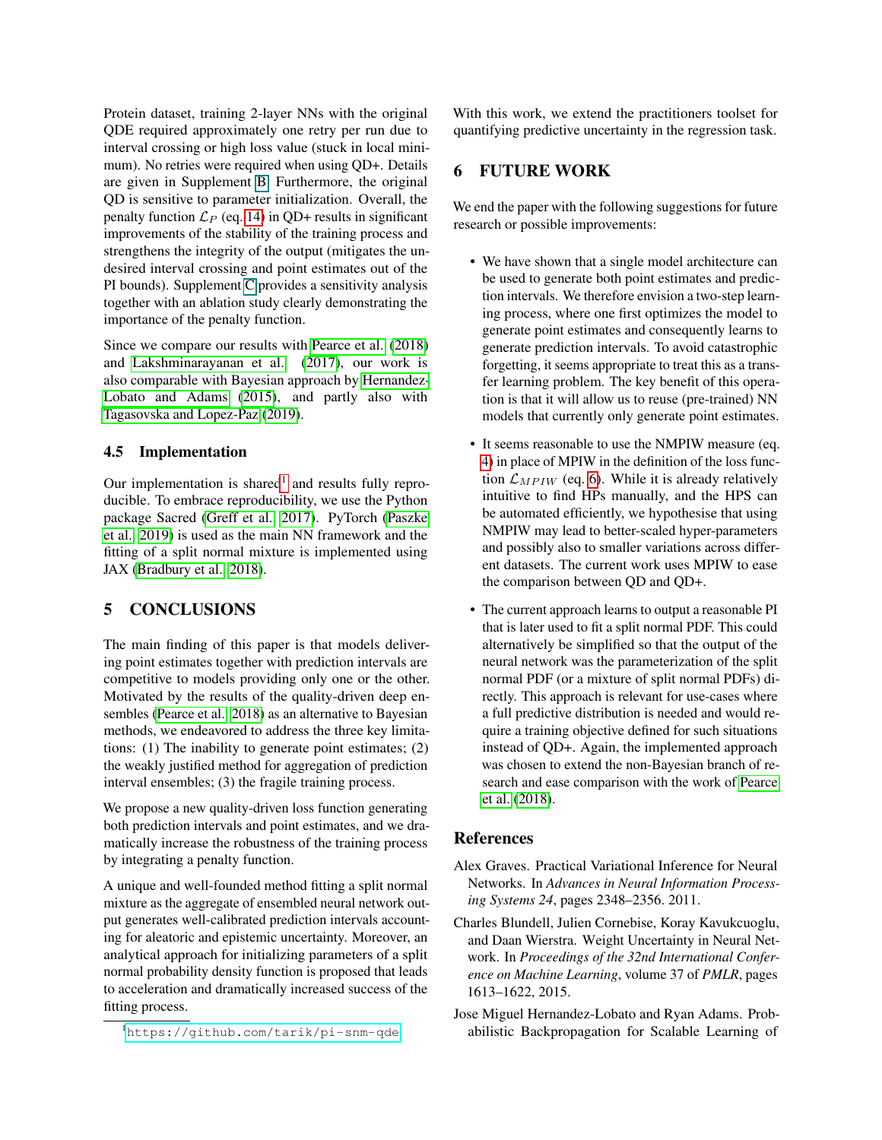Protein dataset, training 2-layer NNs with the original QDE required approximately one retry per run due to interval crossing or high loss value (stuck in local minimum). No retries were required when using QD+. Details are given in Supplement B. Furthermore, the original QD is sensitive to parameter initialization. Overall, the penalty function  $\mathcal{L}_P$  (eq. [14\)](#page-4-0) in QD+ results in significant improvements of the stability of the training process and strengthens the integrity of the output (mitigates the undesired interval crossing and point estimates out of the PI bounds). Supplement C provides a sensitivity analysis together with an ablation study clearly demonstrating the importance of the penalty function.

Since we compare our results with [Pearce et al.](#page-8-7) [\(2018\)](#page-8-7) and [Lakshminarayanan et al.](#page-8-6) [\(2017\)](#page-8-6), our work is also comparable with Bayesian approach by [Hernandez-](#page-7-2)[Lobato and Adams](#page-7-2) [\(2015\)](#page-7-2), and partly also with [Tagasovska and Lopez-Paz](#page-8-8) [\(2019\)](#page-8-8).

# 4.5 Implementation

Our implementation is shared<sup>[1](#page-7-3)</sup> and results fully reproducible. To embrace reproducibility, we use the Python package Sacred [\(Greff et al., 2017\)](#page-8-18). PyTorch [\(Paszke](#page-8-19) [et al., 2019\)](#page-8-19) is used as the main NN framework and the fitting of a split normal mixture is implemented using JAX [\(Bradbury et al., 2018\)](#page-8-20).

# 5 CONCLUSIONS

The main finding of this paper is that models delivering point estimates together with prediction intervals are competitive to models providing only one or the other. Motivated by the results of the quality-driven deep ensembles [\(Pearce et al., 2018\)](#page-8-7) as an alternative to Bayesian methods, we endeavored to address the three key limitations: (1) The inability to generate point estimates; (2) the weakly justified method for aggregation of prediction interval ensembles; (3) the fragile training process.

We propose a new quality-driven loss function generating both prediction intervals and point estimates, and we dramatically increase the robustness of the training process by integrating a penalty function.

A unique and well-founded method fitting a split normal mixture as the aggregate of ensembled neural network output generates well-calibrated prediction intervals accounting for aleatoric and epistemic uncertainty. Moreover, an analytical approach for initializing parameters of a split normal probability density function is proposed that leads to acceleration and dramatically increased success of the fitting process.

With this work, we extend the practitioners toolset for quantifying predictive uncertainty in the regression task.

# 6 FUTURE WORK

We end the paper with the following suggestions for future research or possible improvements:

- We have shown that a single model architecture can be used to generate both point estimates and prediction intervals. We therefore envision a two-step learning process, where one first optimizes the model to generate point estimates and consequently learns to generate prediction intervals. To avoid catastrophic forgetting, it seems appropriate to treat this as a transfer learning problem. The key benefit of this operation is that it will allow us to reuse (pre-trained) NN models that currently only generate point estimates.
- It seems reasonable to use the NMPIW measure (eq. [4\)](#page-2-6) in place of MPIW in the definition of the loss function  $\mathcal{L}_{MPIW}$  (eq. [6\)](#page-2-2). While it is already relatively intuitive to find HPs manually, and the HPS can be automated efficiently, we hypothesise that using NMPIW may lead to better-scaled hyper-parameters and possibly also to smaller variations across different datasets. The current work uses MPIW to ease the comparison between QD and QD+.
- The current approach learns to output a reasonable PI that is later used to fit a split normal PDF. This could alternatively be simplified so that the output of the neural network was the parameterization of the split normal PDF (or a mixture of split normal PDFs) directly. This approach is relevant for use-cases where a full predictive distribution is needed and would require a training objective defined for such situations instead of QD+. Again, the implemented approach was chosen to extend the non-Bayesian branch of research and ease comparison with the work of [Pearce](#page-8-7) [et al.](#page-8-7) [\(2018\)](#page-8-7).

# References

- <span id="page-7-0"></span>Alex Graves. Practical Variational Inference for Neural Networks. In *Advances in Neural Information Processing Systems 24*, pages 2348–2356. 2011.
- <span id="page-7-1"></span>Charles Blundell, Julien Cornebise, Koray Kavukcuoglu, and Daan Wierstra. Weight Uncertainty in Neural Network. In *Proceedings of the 32nd International Conference on Machine Learning*, volume 37 of *PMLR*, pages 1613–1622, 2015.
- <span id="page-7-2"></span>Jose Miguel Hernandez-Lobato and Ryan Adams. Probabilistic Backpropagation for Scalable Learning of

<span id="page-7-3"></span><sup>1</sup><https://github.com/tarik/pi-snm-qde>